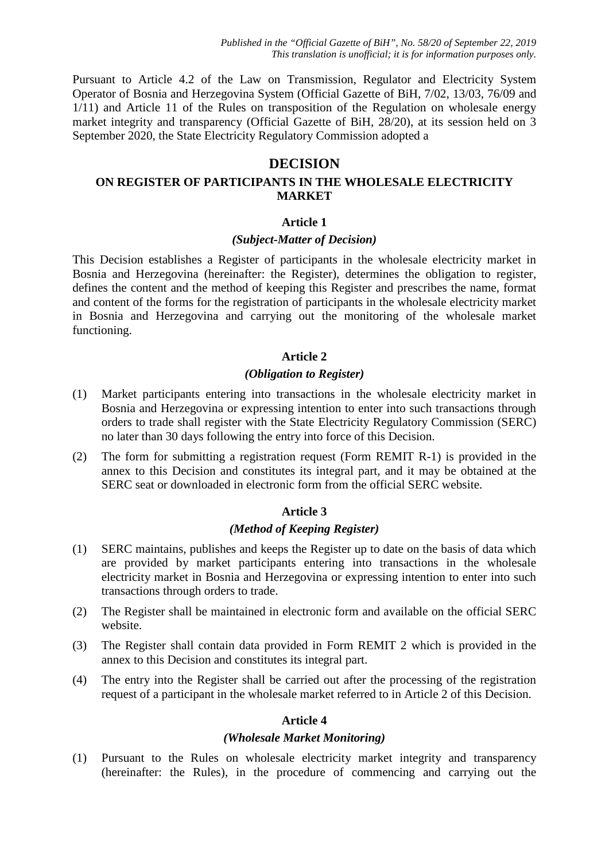Pursuant to Article 4.2 of the Law on Transmission, Regulator and Electricity System Operator of Bosnia and Herzegovina System (Official Gazette of BiH, 7/02, 13/03, 76/09 and 1/11) and Article 11 of the Rules on transposition of the Regulation on wholesale energy market integrity and transparency (Official Gazette of BiH, 28/20), at its session held on 3 September 2020, the State Electricity Regulatory Commission adopted a

# **DECISION**

## **ON REGISTER OF PARTICIPANTS IN THE WHOLESALE ELECTRICITY MARKET**

### **Article 1**

### *(Subject-Matter of Decision)*

This Decision establishes a Register of participants in the wholesale electricity market in Bosnia and Herzegovina (hereinafter: the Register), determines the obligation to register, defines the content and the method of keeping this Register and prescribes the name, format and content of the forms for the registration of participants in the wholesale electricity market in Bosnia and Herzegovina and carrying out the monitoring of the wholesale market functioning.

### **Article 2**

### *(Obligation to Register)*

- (1) Market participants entering into transactions in the wholesale electricity market in Bosnia and Herzegovina or expressing intention to enter into such transactions through orders to trade shall register with the State Electricity Regulatory Commission (SERC) no later than 30 days following the entry into force of this Decision.
- (2) The form for submitting a registration request (Form REMIT R-1) is provided in the annex to this Decision and constitutes its integral part, and it may be obtained at the SERC seat or downloaded in electronic form from the official SERC website.

## **Article 3**

### *(Method of Keeping Register)*

- (1) SERC maintains, publishes and keeps the Register up to date on the basis of data which are provided by market participants entering into transactions in the wholesale electricity market in Bosnia and Herzegovina or expressing intention to enter into such transactions through orders to trade.
- (2) The Register shall be maintained in electronic form and available on the official SERC website.
- (3) The Register shall contain data provided in Form REMIT 2 which is provided in the annex to this Decision and constitutes its integral part.
- (4) The entry into the Register shall be carried out after the processing of the registration request of a participant in the wholesale market referred to in Article 2 of this Decision.

## **Article 4**

### *(Wholesale Market Monitoring)*

(1) Pursuant to the Rules on wholesale electricity market integrity and transparency (hereinafter: the Rules), in the procedure of commencing and carrying out the